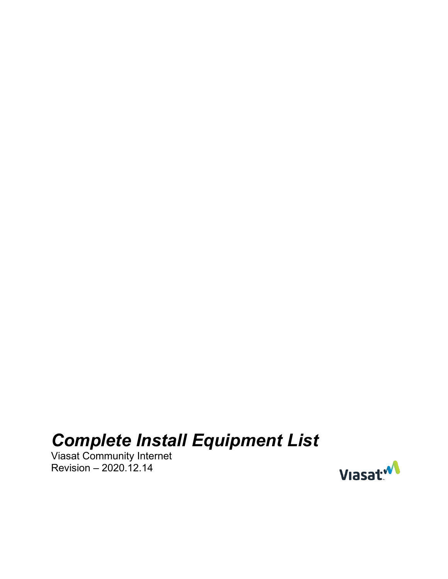# *Complete Install Equipment List*

Viasat Community Internet Revision – 2020.12.14

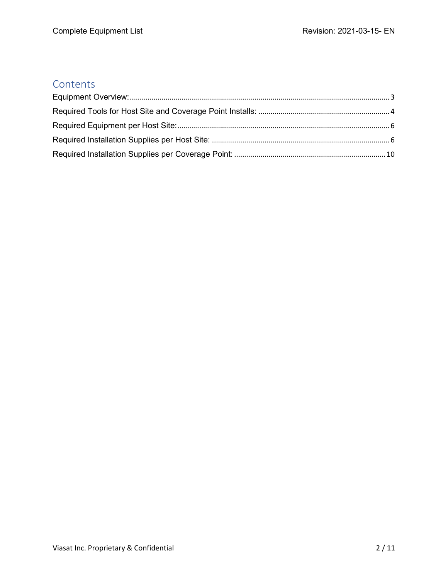#### **Contents**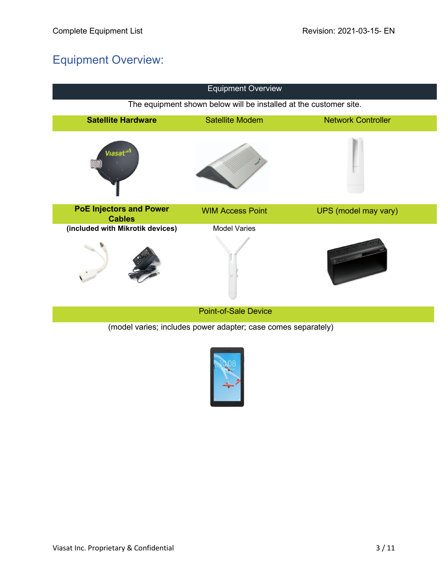# <span id="page-2-0"></span>Equipment Overview:

| <b>Equipment Overview</b>                                     |                                                                   |                           |  |  |
|---------------------------------------------------------------|-------------------------------------------------------------------|---------------------------|--|--|
|                                                               | The equipment shown below will be installed at the customer site. |                           |  |  |
| <b>Satellite Hardware</b>                                     | <b>Satellite Modem</b>                                            | <b>Network Controller</b> |  |  |
| Viasat*                                                       |                                                                   |                           |  |  |
| <b>PoE Injectors and Power</b><br><b>Cables</b>               | <b>WIM Access Point</b>                                           | UPS (model may vary)      |  |  |
| (included with Mikrotik devices)                              | <b>Model Varies</b>                                               |                           |  |  |
|                                                               |                                                                   |                           |  |  |
| <b>Point-of-Sale Device</b>                                   |                                                                   |                           |  |  |
| (model varies; includes power adapter; case comes separately) |                                                                   |                           |  |  |

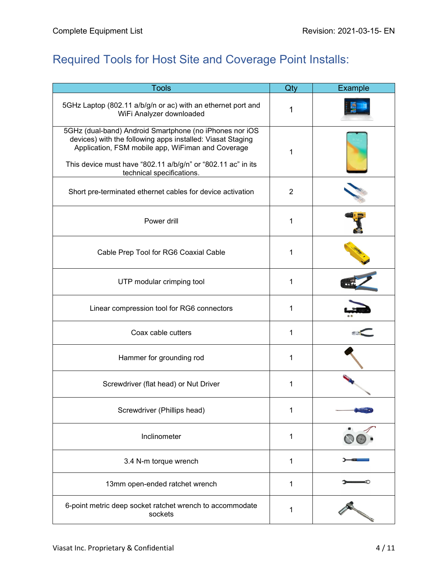# <span id="page-3-0"></span>Required Tools for Host Site and Coverage Point Installs:

| <b>Tools</b>                                                                                                                                                                                                                               | Qty            | <b>Example</b> |
|--------------------------------------------------------------------------------------------------------------------------------------------------------------------------------------------------------------------------------------------|----------------|----------------|
| 5GHz Laptop (802.11 a/b/g/n or ac) with an ethernet port and<br>WiFi Analyzer downloaded                                                                                                                                                   | 1              |                |
| 5GHz (dual-band) Android Smartphone (no iPhones nor iOS<br>devices) with the following apps installed: Viasat Staging<br>Application, FSM mobile app, WiFiman and Coverage<br>This device must have "802.11 a/b/g/n" or "802.11 ac" in its | 1              |                |
| technical specifications.                                                                                                                                                                                                                  |                |                |
| Short pre-terminated ethernet cables for device activation                                                                                                                                                                                 | $\overline{2}$ |                |
| Power drill                                                                                                                                                                                                                                | 1              |                |
| Cable Prep Tool for RG6 Coaxial Cable                                                                                                                                                                                                      | 1              |                |
| UTP modular crimping tool                                                                                                                                                                                                                  | 1              |                |
| Linear compression tool for RG6 connectors                                                                                                                                                                                                 | 1              |                |
| Coax cable cutters                                                                                                                                                                                                                         | 1              |                |
| Hammer for grounding rod                                                                                                                                                                                                                   | 1              |                |
| Screwdriver (flat head) or Nut Driver                                                                                                                                                                                                      | 1              |                |
| Screwdriver (Phillips head)                                                                                                                                                                                                                |                |                |
| Inclinometer                                                                                                                                                                                                                               | 1              |                |
| 3.4 N-m torque wrench                                                                                                                                                                                                                      | 1              |                |
| 13mm open-ended ratchet wrench                                                                                                                                                                                                             | 1              |                |
| 6-point metric deep socket ratchet wrench to accommodate<br>sockets                                                                                                                                                                        | 1              |                |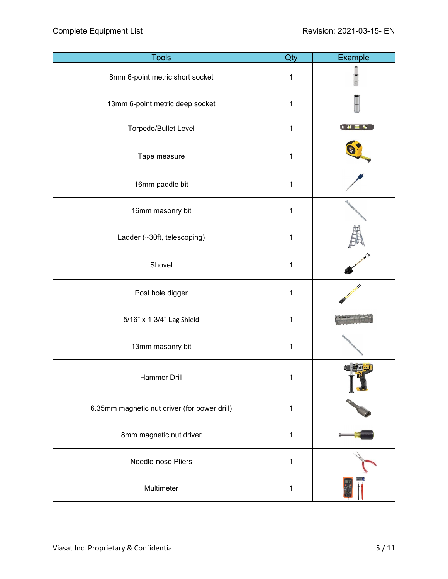| <b>Tools</b>                                 | Qty         | Example |
|----------------------------------------------|-------------|---------|
| 8mm 6-point metric short socket              | 1           |         |
| 13mm 6-point metric deep socket              | 1           |         |
| Torpedo/Bullet Level                         | 1           | 1000    |
| Tape measure                                 | 1           |         |
| 16mm paddle bit                              | 1           |         |
| 16mm masonry bit                             | 1           |         |
| Ladder (~30ft, telescoping)                  | 1           |         |
| Shovel                                       | 1           |         |
| Post hole digger                             | 1           |         |
| 5/16" x 1 3/4" Lag Shield                    | 1           |         |
| 13mm masonry bit                             | 1           |         |
| Hammer Drill                                 | 1           |         |
| 6.35mm magnetic nut driver (for power drill) | $\mathbf 1$ |         |
| 8mm magnetic nut driver                      | 1           |         |
| Needle-nose Pliers                           | 1           |         |
| Multimeter                                   | $\mathbf 1$ |         |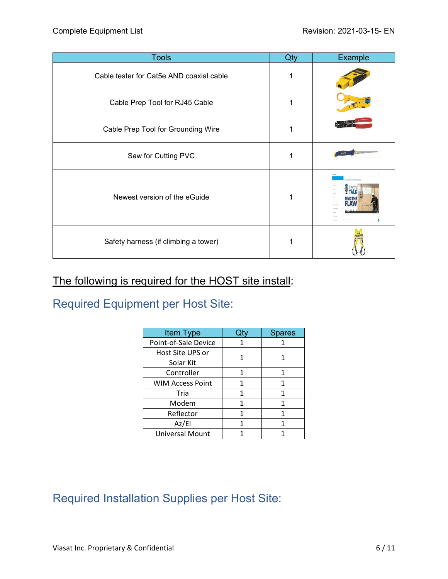| <b>Tools</b>                             | Qty | Example                  |
|------------------------------------------|-----|--------------------------|
| Cable tester for Cat5e AND coaxial cable |     |                          |
| Cable Prep Tool for RJ45 Cable           |     |                          |
| Cable Prep Tool for Grounding Wire       | 1   |                          |
| Saw for Cutting PVC                      | 1   |                          |
| Newest version of the eGuide             | 1   | Viasat Technician eGuide |
| Safety harness (if climbing a tower)     |     |                          |

#### The following is required for the HOST site install:

<span id="page-5-0"></span>Required Equipment per Host Site:

| Item Type                     |   | <b>Spares</b> |
|-------------------------------|---|---------------|
| Point-of-Sale Device          |   |               |
| Host Site UPS or<br>Solar Kit |   |               |
| Controller                    |   | 1             |
| <b>WIM Access Point</b>       |   | 1             |
| Tria                          | 1 |               |
| Modem                         |   | 1             |
| Reflector                     | 1 | 1             |
| Az/El                         | 1 |               |
| <b>Universal Mount</b>        |   |               |

## <span id="page-5-1"></span>Required Installation Supplies per Host Site: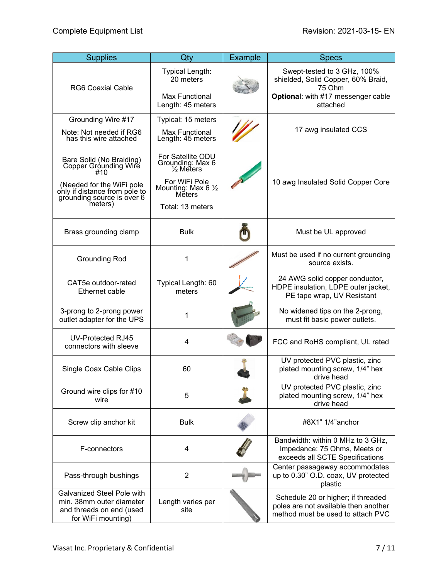| <b>Supplies</b>                                                                                                                                                 | Qty                                                                                                                                  | Example | <b>Specs</b>                                                                                                                  |
|-----------------------------------------------------------------------------------------------------------------------------------------------------------------|--------------------------------------------------------------------------------------------------------------------------------------|---------|-------------------------------------------------------------------------------------------------------------------------------|
| <b>RG6 Coaxial Cable</b>                                                                                                                                        | Typical Length:<br>20 meters<br><b>Max Functional</b><br>Length: 45 meters                                                           |         | Swept-tested to 3 GHz, 100%<br>shielded, Solid Copper, 60% Braid,<br>75 Ohm<br>Optional: with #17 messenger cable<br>attached |
| Grounding Wire #17                                                                                                                                              | Typical: 15 meters                                                                                                                   |         |                                                                                                                               |
| Note: Not needed if RG6<br>has this wire attached                                                                                                               | <b>Max Functional</b><br>Length: 45 meters                                                                                           |         | 17 awg insulated CCS                                                                                                          |
| Bare Solid (No Braiding)<br>Copper Grounding Wire<br>#10<br>(Needed for the WiFi pole<br>only if distance from pole to<br>grounding source is over 6<br>meters) | For Satellite ODU<br>Grounding: Max 6<br><sup>1/2</sup> Meters<br>For WiFi Pole<br>Mounting: Max 6 1/2<br>Měters<br>Total: 13 meters |         | 10 awg Insulated Solid Copper Core                                                                                            |
| Brass grounding clamp                                                                                                                                           | <b>Bulk</b>                                                                                                                          |         | Must be UL approved                                                                                                           |
| <b>Grounding Rod</b>                                                                                                                                            | 1                                                                                                                                    |         | Must be used if no current grounding<br>source exists.                                                                        |
| CAT5e outdoor-rated<br>Ethernet cable                                                                                                                           | Typical Length: 60<br>meters                                                                                                         |         | 24 AWG solid copper conductor,<br>HDPE insulation, LDPE outer jacket,<br>PE tape wrap, UV Resistant                           |
| 3-prong to 2-prong power<br>outlet adapter for the UPS                                                                                                          | 1                                                                                                                                    |         | No widened tips on the 2-prong,<br>must fit basic power outlets.                                                              |
| UV-Protected RJ45<br>connectors with sleeve                                                                                                                     | $\overline{4}$                                                                                                                       |         | FCC and RoHS compliant, UL rated                                                                                              |
| Single Coax Cable Clips                                                                                                                                         | 60                                                                                                                                   |         | UV protected PVC plastic, zinc<br>plated mounting screw, 1/4" hex<br>drive head                                               |
| Ground wire clips for #10<br>wire                                                                                                                               | 5                                                                                                                                    |         | UV protected PVC plastic, zinc<br>plated mounting screw, 1/4" hex<br>drive head                                               |
| Screw clip anchor kit                                                                                                                                           | <b>Bulk</b>                                                                                                                          |         | #8X1" 1/4"anchor                                                                                                              |
| F-connectors                                                                                                                                                    | $\overline{4}$                                                                                                                       |         | Bandwidth: within 0 MHz to 3 GHz,<br>Impedance: 75 Ohms, Meets or<br>exceeds all SCTE Specifications                          |
| Pass-through bushings                                                                                                                                           | $\overline{2}$                                                                                                                       |         | Center passageway accommodates<br>up to 0.30" O.D. coax, UV protected<br>plastic                                              |
| <b>Galvanized Steel Pole with</b><br>min. 38mm outer diameter<br>and threads on end (used<br>for WiFi mounting)                                                 | Length varies per<br>site                                                                                                            |         | Schedule 20 or higher; if threaded<br>poles are not available then another<br>method must be used to attach PVC               |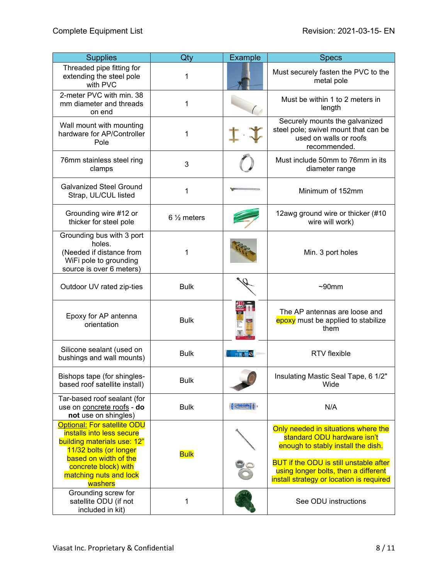| <b>Supplies</b>                                                                                                                                                                                                | Qty                   | <b>Example</b>                  | <b>Specs</b>                                                                                                                                                                                                                                  |
|----------------------------------------------------------------------------------------------------------------------------------------------------------------------------------------------------------------|-----------------------|---------------------------------|-----------------------------------------------------------------------------------------------------------------------------------------------------------------------------------------------------------------------------------------------|
| Threaded pipe fitting for<br>extending the steel pole<br>with PVC                                                                                                                                              | 1                     |                                 | Must securely fasten the PVC to the<br>metal pole                                                                                                                                                                                             |
| 2-meter PVC with min. 38<br>mm diameter and threads<br>on end                                                                                                                                                  | 1                     |                                 | Must be within 1 to 2 meters in<br>length                                                                                                                                                                                                     |
| Wall mount with mounting<br>hardware for AP/Controller<br>Pole                                                                                                                                                 | 1                     |                                 | Securely mounts the galvanized<br>steel pole; swivel mount that can be<br>used on walls or roofs<br>recommended.                                                                                                                              |
| 76mm stainless steel ring<br>clamps                                                                                                                                                                            | 3                     |                                 | Must include 50mm to 76mm in its<br>diameter range                                                                                                                                                                                            |
| <b>Galvanized Steel Ground</b><br>Strap, UL/CUL listed                                                                                                                                                         | 1                     |                                 | Minimum of 152mm                                                                                                                                                                                                                              |
| Grounding wire #12 or<br>thicker for steel pole                                                                                                                                                                | $6\frac{1}{2}$ meters |                                 | 12awg ground wire or thicker (#10<br>wire will work)                                                                                                                                                                                          |
| Grounding bus with 3 port<br>holes.<br>(Needed if distance from<br>WiFi pole to grounding<br>source is over 6 meters)                                                                                          | 1                     |                                 | Min. 3 port holes                                                                                                                                                                                                                             |
| Outdoor UV rated zip-ties                                                                                                                                                                                      | <b>Bulk</b>           |                                 | $~50$ mm                                                                                                                                                                                                                                      |
| Epoxy for AP antenna<br>orientation                                                                                                                                                                            | <b>Bulk</b>           |                                 | The AP antennas are loose and<br>epoxy must be applied to stabilize<br>them                                                                                                                                                                   |
| Silicone sealant (used on<br>bushings and wall mounts)                                                                                                                                                         | <b>Bulk</b>           | 四眼間                             | RTV flexible                                                                                                                                                                                                                                  |
| Bishops tape (for shingles-<br>based roof satellite install)                                                                                                                                                   | <b>Bulk</b>           |                                 | Insulating Mastic Seal Tape, 6 1/2"<br>Wide                                                                                                                                                                                                   |
| Tar-based roof sealant (for<br>use on concrete roofs - do<br>not use on shingles)                                                                                                                              | <b>Bulk</b>           | <b><i><u>Veda Calha</u></i></b> | N/A                                                                                                                                                                                                                                           |
| <b>Optional: For satellite ODU</b><br>installs into less secure<br>building materials use: 12"<br>11/32 bolts (or longer<br>based on width of the<br>concrete block) with<br>matching nuts and lock<br>washers | <b>Bulk</b>           |                                 | Only needed in situations where the<br>standard ODU hardware isn't<br>enough to stably install the dish.<br><b>BUT if the ODU is still unstable after</b><br>using longer bolts, then a different<br>install strategy or location is required |
| Grounding screw for<br>satellite ODU (if not<br>included in kit)                                                                                                                                               | 1                     |                                 | See ODU instructions                                                                                                                                                                                                                          |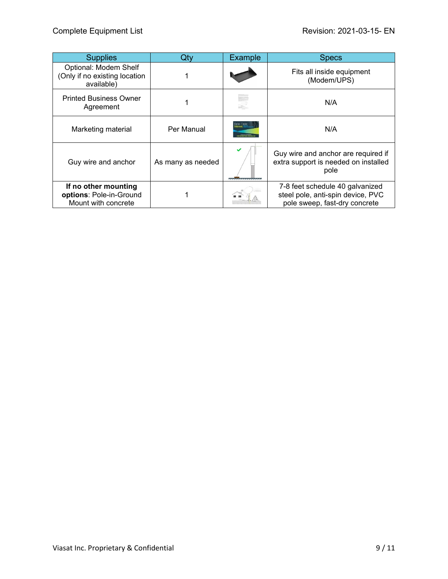| <b>Supplies</b>                                                        | Qtv               | <b>Example</b>   | <b>Specs</b>                                                                                          |
|------------------------------------------------------------------------|-------------------|------------------|-------------------------------------------------------------------------------------------------------|
| Optional: Modem Shelf<br>(Only if no existing location<br>available)   |                   |                  | Fits all inside equipment<br>(Modem/UPS)                                                              |
| <b>Printed Business Owner</b><br>Agreement                             |                   |                  | N/A                                                                                                   |
| Marketing material                                                     | Per Manual        |                  | N/A                                                                                                   |
| Guy wire and anchor                                                    | As many as needed | ---------------- | Guy wire and anchor are required if<br>extra support is needed on installed<br>pole                   |
| If no other mounting<br>options: Pole-in-Ground<br>Mount with concrete |                   |                  | 7-8 feet schedule 40 galvanized<br>steel pole, anti-spin device, PVC<br>pole sweep, fast-dry concrete |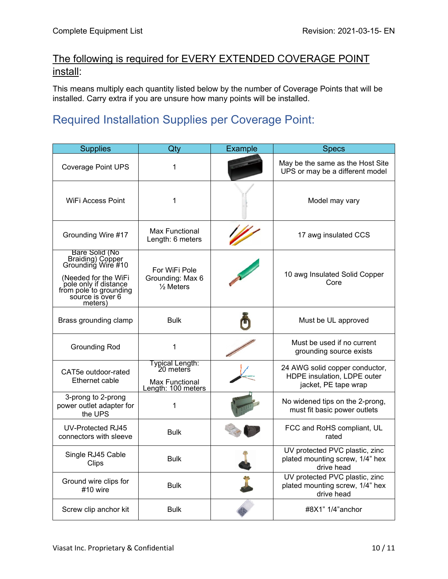#### The following is required for EVERY EXTENDED COVERAGE POINT install:

This means multiply each quantity listed below by the number of Coverage Points that will be installed. Carry extra if you are unsure how many points will be installed.

## <span id="page-9-0"></span>Required Installation Supplies per Coverage Point:

| <b>Supplies</b>                                                                                                                                                    | Qty                                                                         | Example | <b>Specs</b>                                                                          |
|--------------------------------------------------------------------------------------------------------------------------------------------------------------------|-----------------------------------------------------------------------------|---------|---------------------------------------------------------------------------------------|
| <b>Coverage Point UPS</b>                                                                                                                                          | 1                                                                           |         | May be the same as the Host Site<br>UPS or may be a different model                   |
| <b>WiFi Access Point</b>                                                                                                                                           | 1                                                                           |         | Model may vary                                                                        |
| Grounding Wire #17                                                                                                                                                 | <b>Max Functional</b><br>Length: 6 meters                                   |         | 17 awg insulated CCS                                                                  |
| Bare Solid (No<br>Braiding) Copper<br>Grounding Wire #10<br>(Needed for the WiFi<br>pole only if distance<br>from pole to grounding<br>source is over 6<br>meters) | For WiFi Pole<br>Grounding: Max 6<br>$\frac{1}{2}$ Meters                   |         | 10 awg Insulated Solid Copper<br>Core                                                 |
| Brass grounding clamp                                                                                                                                              | <b>Bulk</b>                                                                 |         | Must be UL approved                                                                   |
| <b>Grounding Rod</b>                                                                                                                                               | $\mathbf{1}$                                                                |         | Must be used if no current<br>grounding source exists                                 |
| CAT5e outdoor-rated<br>Ethernet cable                                                                                                                              | Typical Length:<br>20 meters<br><b>Max Functional</b><br>Length: 100 meters |         | 24 AWG solid copper conductor,<br>HDPE insulation, LDPE outer<br>jacket, PE tape wrap |
| 3-prong to 2-prong<br>power outlet adapter for<br>the UPS                                                                                                          | 1                                                                           |         | No widened tips on the 2-prong,<br>must fit basic power outlets                       |
| UV-Protected RJ45<br>connectors with sleeve                                                                                                                        | <b>Bulk</b>                                                                 |         | FCC and RoHS compliant, UL<br>rated                                                   |
| Single RJ45 Cable<br>Clips                                                                                                                                         | <b>Bulk</b>                                                                 |         | UV protected PVC plastic, zinc<br>plated mounting screw, 1/4" hex<br>drive head       |
| Ground wire clips for<br>#10 wire                                                                                                                                  | <b>Bulk</b>                                                                 |         | UV protected PVC plastic, zinc<br>plated mounting screw, 1/4" hex<br>drive head       |
| Screw clip anchor kit                                                                                                                                              | <b>Bulk</b>                                                                 |         | #8X1" 1/4"anchor                                                                      |